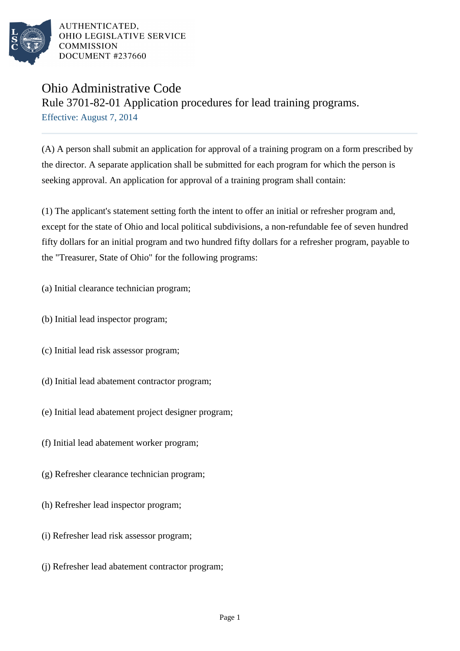

## Ohio Administrative Code

Rule 3701-82-01 Application procedures for lead training programs.

Effective: August 7, 2014

(A) A person shall submit an application for approval of a training program on a form prescribed by the director. A separate application shall be submitted for each program for which the person is seeking approval. An application for approval of a training program shall contain:

(1) The applicant's statement setting forth the intent to offer an initial or refresher program and, except for the state of Ohio and local political subdivisions, a non-refundable fee of seven hundred fifty dollars for an initial program and two hundred fifty dollars for a refresher program, payable to the "Treasurer, State of Ohio" for the following programs:

- (a) Initial clearance technician program;
- (b) Initial lead inspector program;
- (c) Initial lead risk assessor program;
- (d) Initial lead abatement contractor program;
- (e) Initial lead abatement project designer program;
- (f) Initial lead abatement worker program;
- (g) Refresher clearance technician program;
- (h) Refresher lead inspector program;
- (i) Refresher lead risk assessor program;
- (j) Refresher lead abatement contractor program;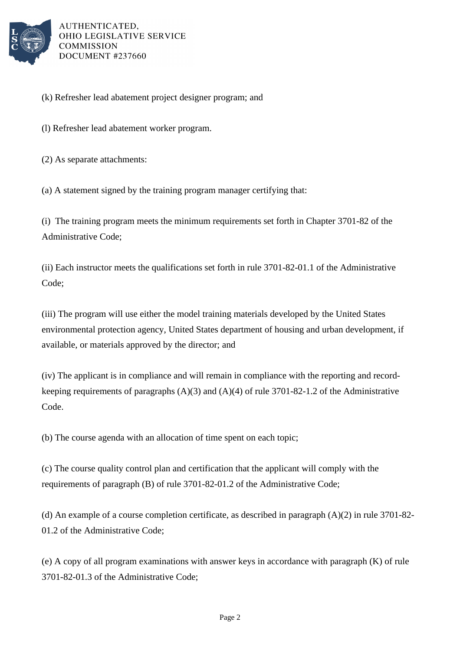

- (k) Refresher lead abatement project designer program; and
- (l) Refresher lead abatement worker program.
- (2) As separate attachments:

(a) A statement signed by the training program manager certifying that:

(i) The training program meets the minimum requirements set forth in Chapter 3701-82 of the Administrative Code;

(ii) Each instructor meets the qualifications set forth in rule 3701-82-01.1 of the Administrative Code;

(iii) The program will use either the model training materials developed by the United States environmental protection agency, United States department of housing and urban development, if available, or materials approved by the director; and

(iv) The applicant is in compliance and will remain in compliance with the reporting and recordkeeping requirements of paragraphs (A)(3) and (A)(4) of rule 3701-82-1.2 of the Administrative Code.

(b) The course agenda with an allocation of time spent on each topic;

(c) The course quality control plan and certification that the applicant will comply with the requirements of paragraph (B) of rule 3701-82-01.2 of the Administrative Code;

(d) An example of a course completion certificate, as described in paragraph (A)(2) in rule 3701-82- 01.2 of the Administrative Code;

(e) A copy of all program examinations with answer keys in accordance with paragraph (K) of rule 3701-82-01.3 of the Administrative Code;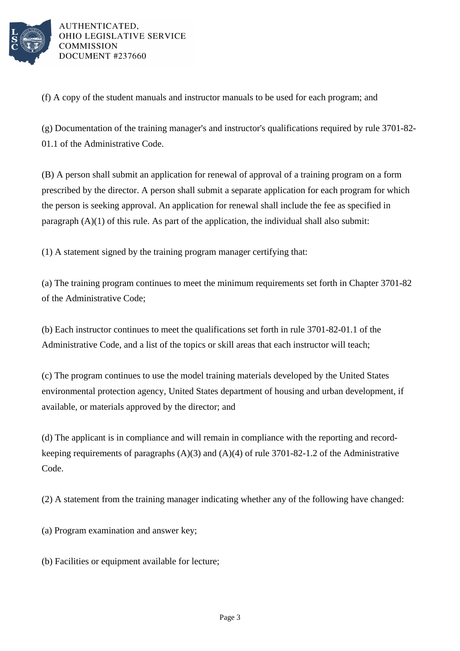

(f) A copy of the student manuals and instructor manuals to be used for each program; and

(g) Documentation of the training manager's and instructor's qualifications required by rule 3701-82- 01.1 of the Administrative Code.

(B) A person shall submit an application for renewal of approval of a training program on a form prescribed by the director. A person shall submit a separate application for each program for which the person is seeking approval. An application for renewal shall include the fee as specified in paragraph  $(A)(1)$  of this rule. As part of the application, the individual shall also submit:

(1) A statement signed by the training program manager certifying that:

(a) The training program continues to meet the minimum requirements set forth in Chapter 3701-82 of the Administrative Code;

(b) Each instructor continues to meet the qualifications set forth in rule 3701-82-01.1 of the Administrative Code, and a list of the topics or skill areas that each instructor will teach;

(c) The program continues to use the model training materials developed by the United States environmental protection agency, United States department of housing and urban development, if available, or materials approved by the director; and

(d) The applicant is in compliance and will remain in compliance with the reporting and recordkeeping requirements of paragraphs (A)(3) and (A)(4) of rule 3701-82-1.2 of the Administrative Code.

(2) A statement from the training manager indicating whether any of the following have changed:

(a) Program examination and answer key;

(b) Facilities or equipment available for lecture;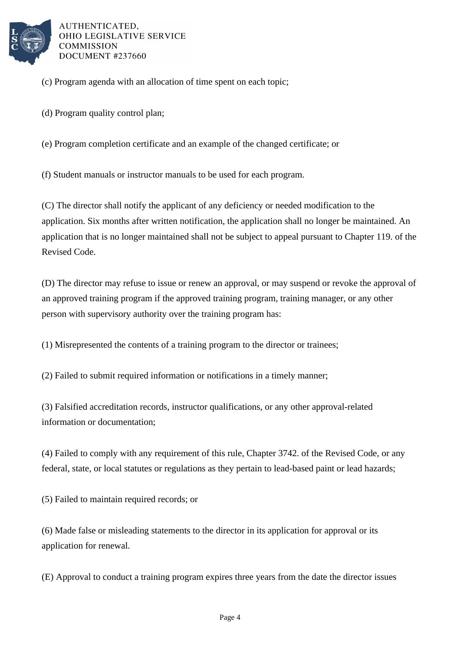

- (c) Program agenda with an allocation of time spent on each topic;
- (d) Program quality control plan;
- (e) Program completion certificate and an example of the changed certificate; or

(f) Student manuals or instructor manuals to be used for each program.

(C) The director shall notify the applicant of any deficiency or needed modification to the application. Six months after written notification, the application shall no longer be maintained. An application that is no longer maintained shall not be subject to appeal pursuant to Chapter 119. of the Revised Code.

(D) The director may refuse to issue or renew an approval, or may suspend or revoke the approval of an approved training program if the approved training program, training manager, or any other person with supervisory authority over the training program has:

(1) Misrepresented the contents of a training program to the director or trainees;

(2) Failed to submit required information or notifications in a timely manner;

(3) Falsified accreditation records, instructor qualifications, or any other approval-related information or documentation;

(4) Failed to comply with any requirement of this rule, Chapter 3742. of the Revised Code, or any federal, state, or local statutes or regulations as they pertain to lead-based paint or lead hazards;

(5) Failed to maintain required records; or

(6) Made false or misleading statements to the director in its application for approval or its application for renewal.

(E) Approval to conduct a training program expires three years from the date the director issues